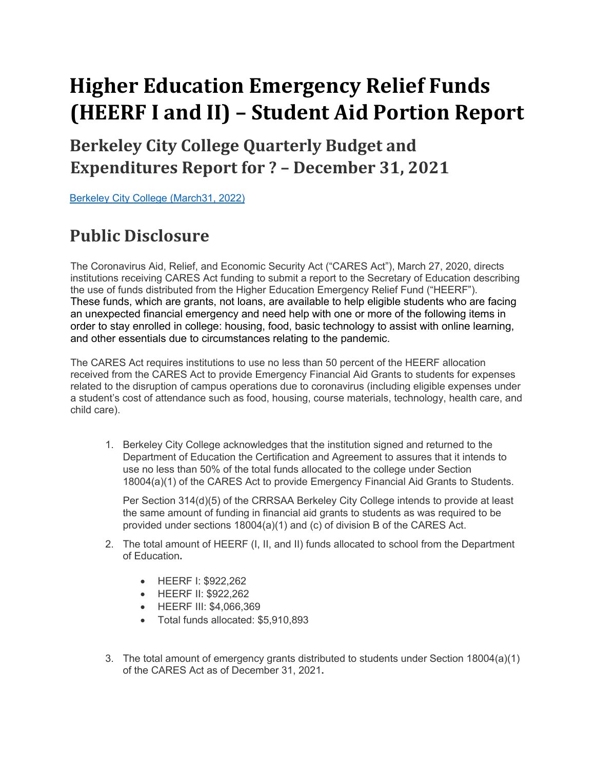# **Higher Education Emergency Relief Funds (HEERF I and II) – Student Aid Portion Report**

## **Berkeley City College Quarterly Budget and Expenditures Report for ? - December 31, 2021**

Berkeley City College (March31, 2022)

## **Public Disclosure**

The Coronavirus Aid, Relief, and Economic Security Act ("CARES Act"), March 27, 2020, directs institutions receiving CARES Act funding to submit a report to the Secretary of Education describing the use of funds distributed from the Higher Education Emergency Relief Fund ("HEERF"). These funds, which are grants, not loans, are available to help eligible students who are facing an unexpected financial emergency and need help with one or more of the following items in order to stay enrolled in college: housing, food, basic technology to assist with online learning, and other essentials due to circumstances relating to the pandemic.

The CARES Act requires institutions to use no less than 50 percent of the HEERF allocation received from the CARES Act to provide Emergency Financial Aid Grants to students for expenses related to the disruption of campus operations due to coronavirus (including eligible expenses under a student's cost of attendance such as food, housing, course materials, technology, health care, and child care).

1. Berkeley City College acknowledges that the institution signed and returned to the Department of Education the Certification and Agreement to assures that it intends to use no less than 50% of the total funds allocated to the college under Section 18004(a)(1) of the CARES Act to provide Emergency Financial Aid Grants to Students.

Per Section 314(d)(5) of the CRRSAA Berkeley City College intends to provide at least the same amount of funding in financial aid grants to students as was required to be provided under sections 18004(a)(1) and (c) of division B of the CARES Act.

- 2. The total amount of HEERF (I, II, and II) funds allocated to school from the Department of Education**.**
	- HEERF I: \$922,262
	- HEERF II: \$922,262
	- HEERF III: \$4,066,369
	- Total funds allocated: \$5,910,893
- 3. The total amount of emergency grants distributed to students under Section 18004(a)(1) of the CARES Act as of December 31, 2021**.**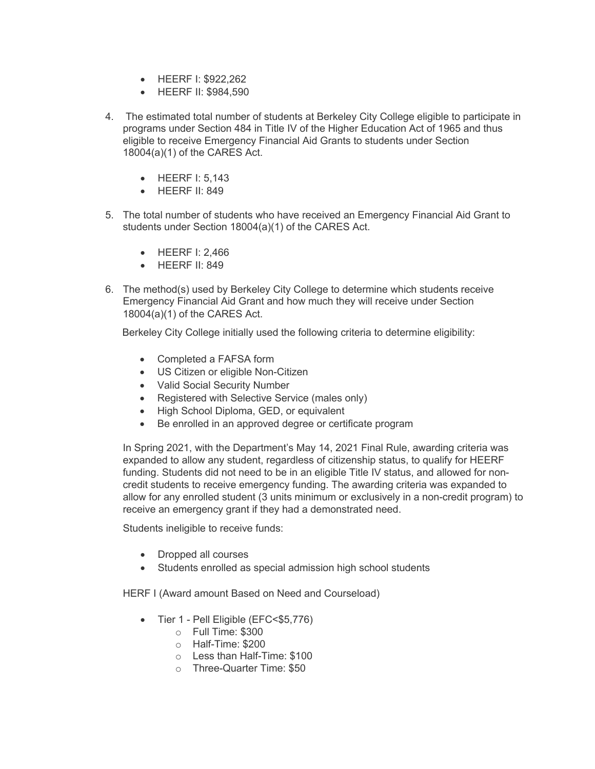- HEERF I: \$922,262
- HEERF II: \$984,590
- 4. The estimated total number of students at Berkeley City College eligible to participate in programs under Section 484 in Title IV of the Higher Education Act of 1965 and thus eligible to receive Emergency Financial Aid Grants to students under Section 18004(a)(1) of the CARES Act.
	- HEERF I: 5,143
	- HEERF II: 849
- 5. The total number of students who have received an Emergency Financial Aid Grant to students under Section 18004(a)(1) of the CARES Act.
	- HEERF I: 2,466
	- HEERF II: 849
- 6. The method(s) used by Berkeley City College to determine which students receive Emergency Financial Aid Grant and how much they will receive under Section 18004(a)(1) of the CARES Act.

Berkeley City College initially used the following criteria to determine eligibility:

- Completed a FAFSA form
- US Citizen or eligible Non-Citizen
- Valid Social Security Number
- Registered with Selective Service (males only)
- High School Diploma, GED, or equivalent
- Be enrolled in an approved degree or certificate program

In Spring 2021, with the Department's May 14, 2021 Final Rule, awarding criteria was expanded to allow any student, regardless of citizenship status, to qualify for HEERF funding. Students did not need to be in an eligible Title IV status, and allowed for noncredit students to receive emergency funding. The awarding criteria was expanded to allow for any enrolled student (3 units minimum or exclusively in a non-credit program) to receive an emergency grant if they had a demonstrated need.

Students ineligible to receive funds:

- Dropped all courses
- Students enrolled as special admission high school students

HERF I (Award amount Based on Need and Courseload)

- Tier 1 Pell Eligible (EFC<\$5,776)
	- o Full Time: \$300
	- o Half-Time: \$200
	- o Less than Half-Time: \$100
	- o Three-Quarter Time: \$50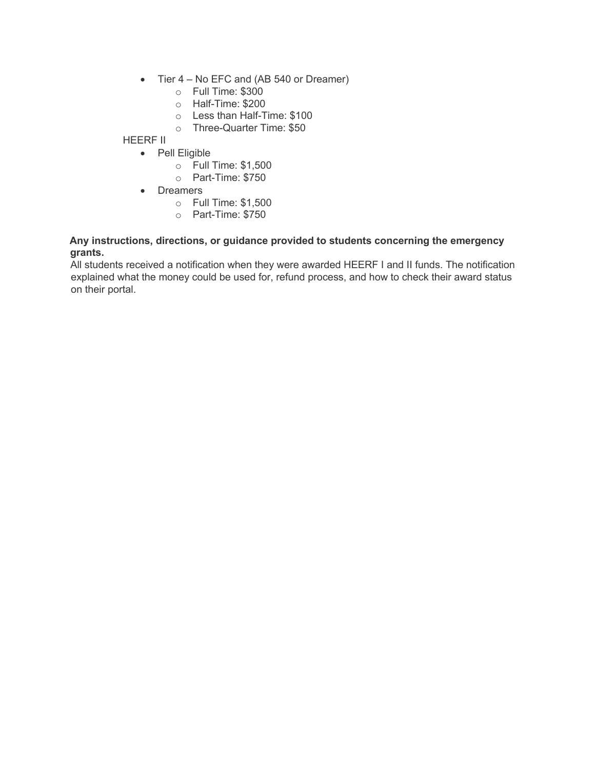- Tier 4 No EFC and (AB 540 or Dreamer)
	- o Full Time: \$300
	- o Half-Time: \$200
	- o Less than Half-Time: \$100
	- o Three-Quarter Time: \$50

HEERF II

- Pell Eligible
	- o Full Time: \$1,500
	- o Part-Time: \$750
- Dreamers
	- o Full Time: \$1,500
	- o Part-Time: \$750

#### **Any instructions, directions, or guidance provided to students concerning the emergency grants.**

All students received a notification when they were awarded HEERF I and II funds. The notification explained what the money could be used for, refund process, and how to check their award status on their portal.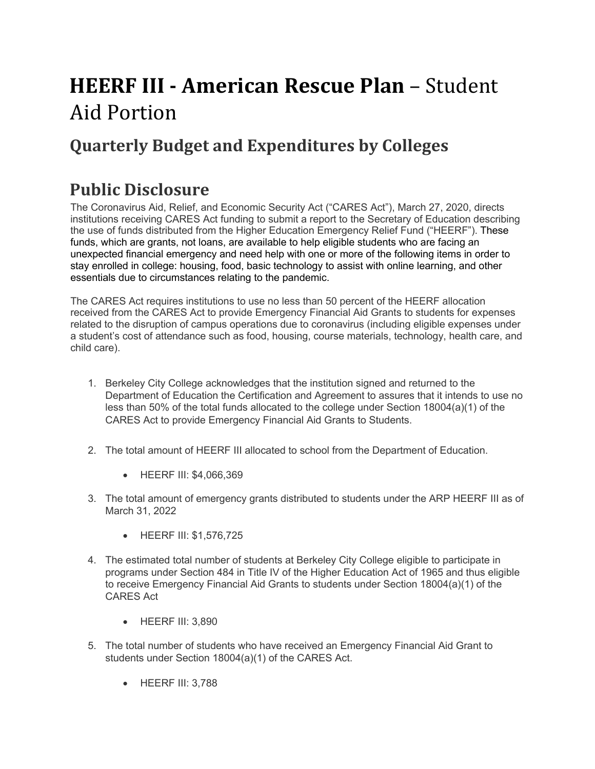# **HEERF III - American Rescue Plan - Student** Aid Portion

## **Quarterly Budget and Expenditures by Colleges**

### **Public Disclosure**

The Coronavirus Aid, Relief, and Economic Security Act ("CARES Act"), March 27, 2020, directs institutions receiving CARES Act funding to submit a report to the Secretary of Education describing the use of funds distributed from the Higher Education Emergency Relief Fund ("HEERF"). These funds, which are grants, not loans, are available to help eligible students who are facing an unexpected financial emergency and need help with one or more of the following items in order to stay enrolled in college: housing, food, basic technology to assist with online learning, and other essentials due to circumstances relating to the pandemic.

The CARES Act requires institutions to use no less than 50 percent of the HEERF allocation received from the CARES Act to provide Emergency Financial Aid Grants to students for expenses related to the disruption of campus operations due to coronavirus (including eligible expenses under a student's cost of attendance such as food, housing, course materials, technology, health care, and child care).

- 1. Berkeley City College acknowledges that the institution signed and returned to the Department of Education the Certification and Agreement to assures that it intends to use no less than 50% of the total funds allocated to the college under Section 18004(a)(1) of the CARES Act to provide Emergency Financial Aid Grants to Students.
- 2. The total amount of HEERF III allocated to school from the Department of Education.
	- HEERF III: \$4,066,369
- 3. The total amount of emergency grants distributed to students under the ARP HEERF III as of March 31, 2022
	- HEERF III: \$1,576,725
- 4. The estimated total number of students at Berkeley City College eligible to participate in programs under Section 484 in Title IV of the Higher Education Act of 1965 and thus eligible to receive Emergency Financial Aid Grants to students under Section 18004(a)(1) of the CARES Act
	- HEERF III: 3,890
- 5. The total number of students who have received an Emergency Financial Aid Grant to students under Section 18004(a)(1) of the CARES Act.
	- HEERF III: 3,788